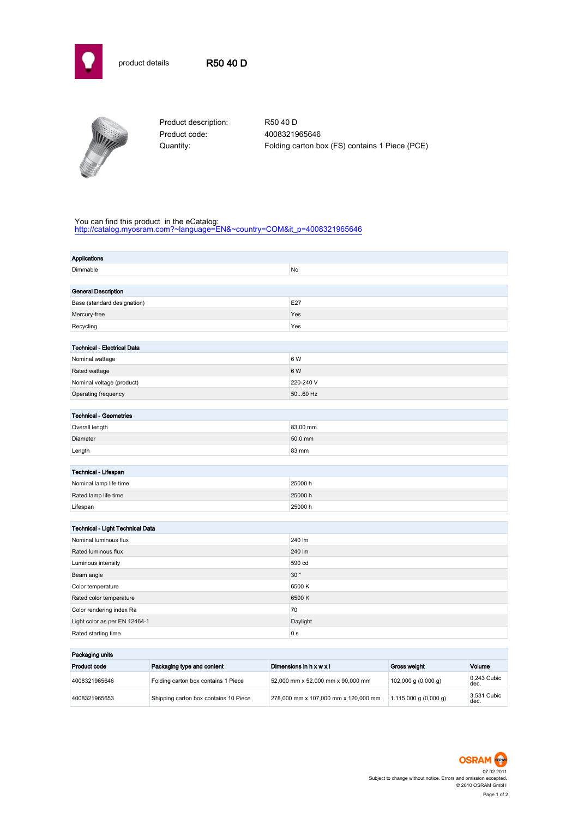



Product description: R50 40 D Product code: 4008321965646

Quantity: Folding carton box (FS) contains 1 Piece (PCE)

## You can find this product in the eCatalog:

[http://catalog.myosram.com?~language=EN&~country=COM&it\\_p=4008321965646](http://catalog.myosram.com?~language=EN&~country=COM&it_p=4008321965646)

| <b>Applications</b>                     |                |  |  |  |
|-----------------------------------------|----------------|--|--|--|
| Dimmable                                | No             |  |  |  |
|                                         |                |  |  |  |
| <b>General Description</b>              |                |  |  |  |
| Base (standard designation)             | E27            |  |  |  |
| Mercury-free                            | Yes            |  |  |  |
| Recycling                               | Yes            |  |  |  |
|                                         |                |  |  |  |
| <b>Technical - Electrical Data</b>      |                |  |  |  |
| Nominal wattage                         | 6 W            |  |  |  |
| Rated wattage                           | 6 W            |  |  |  |
| Nominal voltage (product)               | 220-240 V      |  |  |  |
| Operating frequency                     | 5060 Hz        |  |  |  |
|                                         |                |  |  |  |
| <b>Technical - Geometries</b>           |                |  |  |  |
| Overall length                          | 83.00 mm       |  |  |  |
| Diameter                                | 50.0 mm        |  |  |  |
| Length                                  | 83 mm          |  |  |  |
|                                         |                |  |  |  |
| Technical - Lifespan                    |                |  |  |  |
| Nominal lamp life time                  | 25000h         |  |  |  |
| Rated lamp life time                    | 25000h         |  |  |  |
| Lifespan                                | 25000h         |  |  |  |
|                                         |                |  |  |  |
| <b>Technical - Light Technical Data</b> |                |  |  |  |
| Nominal luminous flux                   | 240 lm         |  |  |  |
| Rated luminous flux                     | 240 lm         |  |  |  |
| Luminous intensity                      | 590 cd         |  |  |  |
| Beam angle                              | 30°            |  |  |  |
| Color temperature                       | 6500K          |  |  |  |
| Rated color temperature                 | 6500K          |  |  |  |
| Color rendering index Ra                | 70             |  |  |  |
| Light color as per EN 12464-1           | Daylight       |  |  |  |
| Rated starting time                     | 0 <sub>s</sub> |  |  |  |
|                                         |                |  |  |  |

| Packaging units |                                       |                                      |                           |                     |
|-----------------|---------------------------------------|--------------------------------------|---------------------------|---------------------|
| Product code    | Packaging type and content            | Dimensions in $h \times w \times l$  | Gross weight              | Volume              |
| 4008321965646   | Folding carton box contains 1 Piece   | 52.000 mm x 52.000 mm x 90.000 mm    | $102,000$ g $(0,000$ g)   | 0.243 Cubic<br>dec. |
| 4008321965653   | Shipping carton box contains 10 Piece | 278,000 mm x 107,000 mm x 120,000 mm | $1.115,000$ g $(0,000$ g) | 3.531 Cubic<br>dec. |